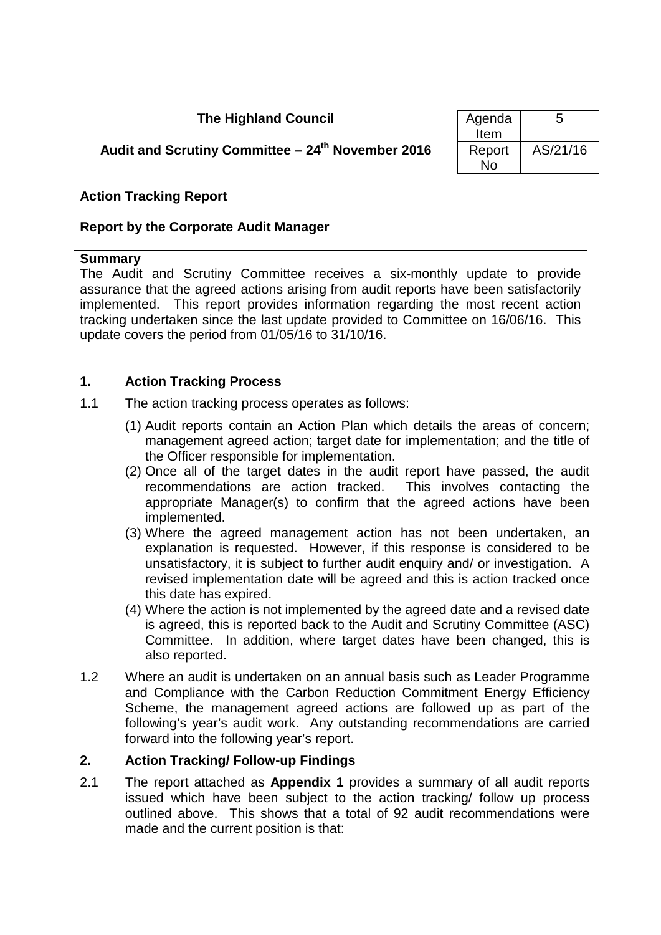# **The Highland Council**

# **Audit and Scrutiny Committee – 24<sup>th</sup> November 2016**

| Agenda | 5        |
|--------|----------|
| Item   |          |
| Report | AS/21/16 |
| N٥     |          |

## **Action Tracking Report**

#### **Report by the Corporate Audit Manager**

#### **Summary**

The Audit and Scrutiny Committee receives a six-monthly update to provide assurance that the agreed actions arising from audit reports have been satisfactorily implemented. This report provides information regarding the most recent action tracking undertaken since the last update provided to Committee on 16/06/16. This update covers the period from 01/05/16 to 31/10/16.

#### **1. Action Tracking Process**

- 1.1 The action tracking process operates as follows:
	- (1) Audit reports contain an Action Plan which details the areas of concern; management agreed action; target date for implementation; and the title of the Officer responsible for implementation.
	- (2) Once all of the target dates in the audit report have passed, the audit recommendations are action tracked. This involves contacting the appropriate Manager(s) to confirm that the agreed actions have been implemented.
	- (3) Where the agreed management action has not been undertaken, an explanation is requested. However, if this response is considered to be unsatisfactory, it is subject to further audit enquiry and/ or investigation. A revised implementation date will be agreed and this is action tracked once this date has expired.
	- (4) Where the action is not implemented by the agreed date and a revised date is agreed, this is reported back to the Audit and Scrutiny Committee (ASC) Committee. In addition, where target dates have been changed, this is also reported.
- 1.2 Where an audit is undertaken on an annual basis such as Leader Programme and Compliance with the Carbon Reduction Commitment Energy Efficiency Scheme, the management agreed actions are followed up as part of the following's year's audit work. Any outstanding recommendations are carried forward into the following year's report.

#### **2. Action Tracking/ Follow-up Findings**

2.1 The report attached as **Appendix 1** provides a summary of all audit reports issued which have been subject to the action tracking/ follow up process outlined above. This shows that a total of 92 audit recommendations were made and the current position is that: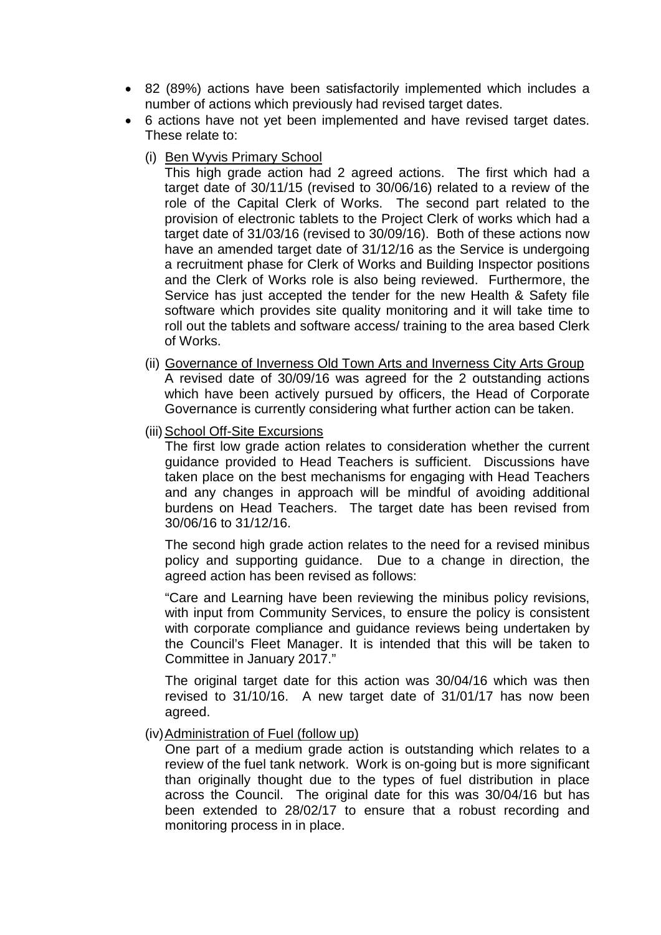- 82 (89%) actions have been satisfactorily implemented which includes a number of actions which previously had revised target dates.
- 6 actions have not yet been implemented and have revised target dates. These relate to:
	- (i) Ben Wyvis Primary School

This high grade action had 2 agreed actions. The first which had a target date of 30/11/15 (revised to 30/06/16) related to a review of the role of the Capital Clerk of Works. The second part related to the provision of electronic tablets to the Project Clerk of works which had a target date of 31/03/16 (revised to 30/09/16). Both of these actions now have an amended target date of 31/12/16 as the Service is undergoing a recruitment phase for Clerk of Works and Building Inspector positions and the Clerk of Works role is also being reviewed. Furthermore, the Service has just accepted the tender for the new Health & Safety file software which provides site quality monitoring and it will take time to roll out the tablets and software access/ training to the area based Clerk of Works.

- (ii) Governance of Inverness Old Town Arts and Inverness City Arts Group A revised date of 30/09/16 was agreed for the 2 outstanding actions which have been actively pursued by officers, the Head of Corporate Governance is currently considering what further action can be taken.
- (iii) School Off-Site Excursions

The first low grade action relates to consideration whether the current guidance provided to Head Teachers is sufficient. Discussions have taken place on the best mechanisms for engaging with Head Teachers and any changes in approach will be mindful of avoiding additional burdens on Head Teachers. The target date has been revised from 30/06/16 to 31/12/16.

The second high grade action relates to the need for a revised minibus policy and supporting guidance. Due to a change in direction, the agreed action has been revised as follows:

"Care and Learning have been reviewing the minibus policy revisions, with input from Community Services, to ensure the policy is consistent with corporate compliance and quidance reviews being undertaken by the Council's Fleet Manager. It is intended that this will be taken to Committee in January 2017."

The original target date for this action was 30/04/16 which was then revised to 31/10/16. A new target date of 31/01/17 has now been agreed.

#### (iv)Administration of Fuel (follow up)

One part of a medium grade action is outstanding which relates to a review of the fuel tank network. Work is on-going but is more significant than originally thought due to the types of fuel distribution in place across the Council. The original date for this was 30/04/16 but has been extended to 28/02/17 to ensure that a robust recording and monitoring process in in place.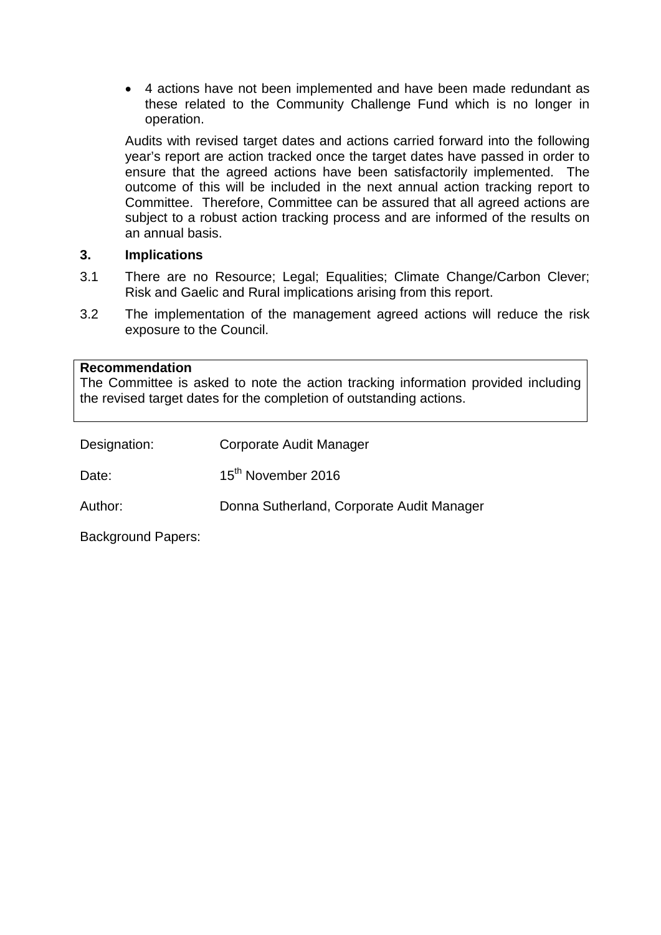• 4 actions have not been implemented and have been made redundant as these related to the Community Challenge Fund which is no longer in operation.

Audits with revised target dates and actions carried forward into the following year's report are action tracked once the target dates have passed in order to ensure that the agreed actions have been satisfactorily implemented. The outcome of this will be included in the next annual action tracking report to Committee. Therefore, Committee can be assured that all agreed actions are subject to a robust action tracking process and are informed of the results on an annual basis.

## **3. Implications**

- 3.1 There are no Resource; Legal; Equalities; Climate Change/Carbon Clever; Risk and Gaelic and Rural implications arising from this report.
- 3.2 The implementation of the management agreed actions will reduce the risk exposure to the Council.

#### **Recommendation**

The Committee is asked to note the action tracking information provided including the revised target dates for the completion of outstanding actions.

| Designation: | Corporate Audit Manager                   |
|--------------|-------------------------------------------|
| Date:        | 15 <sup>th</sup> November 2016            |
| Author:      | Donna Sutherland, Corporate Audit Manager |
|              |                                           |

Background Papers: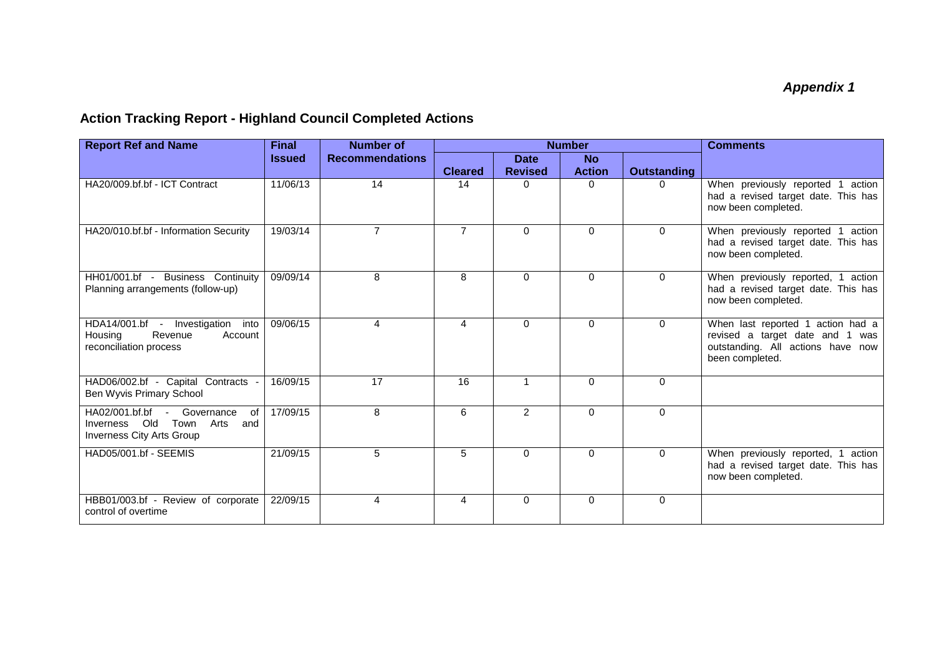# **Action Tracking Report - Highland Council Completed Actions**

| <b>Report Ref and Name</b>                                                                          | <b>Final</b>  | <b>Number of</b>       | <b>Number</b>  |                               |                            | <b>Comments</b>    |                                                                                                                              |
|-----------------------------------------------------------------------------------------------------|---------------|------------------------|----------------|-------------------------------|----------------------------|--------------------|------------------------------------------------------------------------------------------------------------------------------|
|                                                                                                     | <b>Issued</b> | <b>Recommendations</b> | <b>Cleared</b> | <b>Date</b><br><b>Revised</b> | <b>No</b><br><b>Action</b> | <b>Outstanding</b> |                                                                                                                              |
| HA20/009.bf.bf - ICT Contract                                                                       | 11/06/13      | 14                     | 14             | $\Omega$                      | $\Omega$                   | <sup>n</sup>       | When previously reported 1 action<br>had a revised target date. This has<br>now been completed.                              |
| HA20/010.bf.bf - Information Security                                                               | 19/03/14      | $\overline{7}$         | $\overline{7}$ | $\Omega$                      | $\Omega$                   | $\Omega$           | When previously reported 1<br>action<br>had a revised target date. This has<br>now been completed.                           |
| HH01/001.bf - Business Continuity<br>Planning arrangements (follow-up)                              | 09/09/14      | 8                      | 8              | $\Omega$                      | $\Omega$                   | $\Omega$           | When previously reported, 1 action<br>had a revised target date. This has<br>now been completed.                             |
| HDA14/001.bf -<br>Investigation<br>into<br>Revenue<br>Account<br>Housing<br>reconciliation process  | 09/06/15      | 4                      | 4              | $\Omega$                      | $\Omega$                   | $\Omega$           | When last reported 1 action had a<br>revised a target date and 1 was<br>outstanding. All actions have now<br>been completed. |
| HAD06/002.bf - Capital Contracts -<br>Ben Wyvis Primary School                                      | 16/09/15      | 17                     | 16             | $\mathbf{1}$                  | $\Omega$                   | $\Omega$           |                                                                                                                              |
| HA02/001.bf.bf - Governance<br>of<br>Inverness Old<br>Town Arts<br>and<br>Inverness City Arts Group | 17/09/15      | 8                      | 6              | 2                             | $\Omega$                   | $\Omega$           |                                                                                                                              |
| HAD05/001.bf - SEEMIS                                                                               | 21/09/15      | 5                      | 5              | $\Omega$                      | $\Omega$                   | $\Omega$           | When previously reported, 1 action<br>had a revised target date. This has<br>now been completed.                             |
| HBB01/003.bf - Review of corporate<br>control of overtime                                           | 22/09/15      | 4                      | 4              | $\Omega$                      | $\Omega$                   | $\mathbf 0$        |                                                                                                                              |